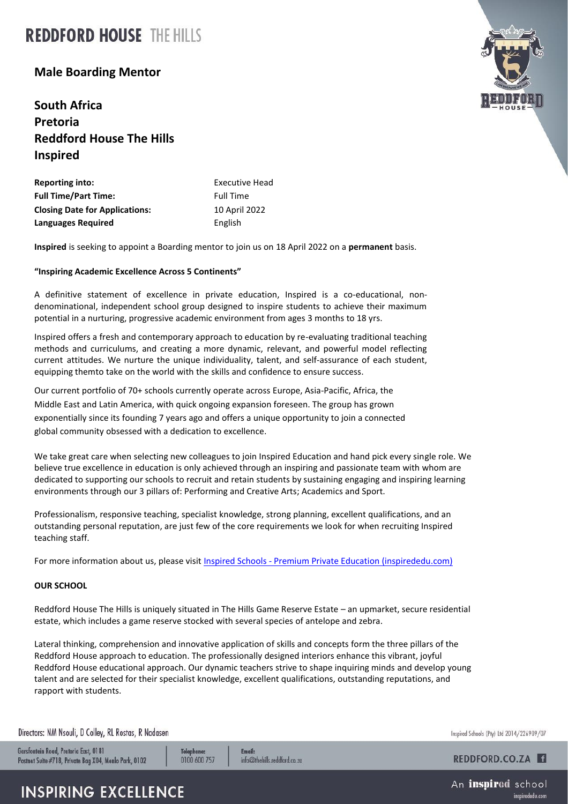# **REDDFORD HOUSE THE HILLS**

## **Male Boarding Mentor**

**South Africa Pretoria Reddford House The Hills Inspired**

| <b>Reporting into:</b>                | <b>Executive Head</b> |
|---------------------------------------|-----------------------|
| <b>Full Time/Part Time:</b>           | <b>Full Time</b>      |
| <b>Closing Date for Applications:</b> | 10 April 2022         |
| Languages Required                    | English               |

**Inspired** is seeking to appoint a Boarding mentor to join us on 18 April 2022 on a **permanent** basis.

#### **"Inspiring Academic Excellence Across 5 Continents"**

A definitive statement of excellence in private education, Inspired is a co-educational, nondenominational, independent school group designed to inspire students to achieve their maximum potential in a nurturing, progressive academic environment from ages 3 months to 18 yrs.

Inspired offers a fresh and contemporary approach to education by re-evaluating traditional teaching methods and curriculums, and creating a more dynamic, relevant, and powerful model reflecting current attitudes. We nurture the unique individuality, talent, and self-assurance of each student, equipping themto take on the world with the skills and confidence to ensure success.

Our current portfolio of 70+ schools currently operate across Europe, Asia-Pacific, Africa, the Middle East and Latin America, with quick ongoing expansion foreseen. The group has grown exponentially since its founding 7 years ago and offers a unique opportunity to join a connected global community obsessed with a dedication to excellence.

We take great care when selecting new colleagues to join Inspired Education and hand pick every single role. We believe true excellence in education is only achieved through an inspiring and passionate team with whom are dedicated to supporting our schools to recruit and retain students by sustaining engaging and inspiring learning environments through our 3 pillars of: Performing and Creative Arts; Academics and Sport.

Professionalism, responsive teaching, specialist knowledge, strong planning, excellent qualifications, and an outstanding personal reputation, are just few of the core requirements we look for when recruiting Inspired teaching staff.

For more information about us, please visit Inspired Schools - [Premium Private Education \(inspirededu.com\)](https://inspirededu.com/our-schools)

#### **OUR SCHOOL**

Reddford House The Hills is uniquely situated in The Hills Game Reserve Estate – an upmarket, secure residential estate, which includes a game reserve stocked with several species of antelope and zebra.

Lateral thinking, comprehension and innovative application of skills and concepts form the three pillars of the Reddford House approach to education. The professionally designed interiors enhance this vibrant, joyful Reddford House educational approach. Our dynamic teachers strive to shape inquiring minds and develop young talent and are selected for their specialist knowledge, excellent qualifications, outstanding reputations, and rapport with students.

Directors: NM Nsouli, D Colley, RL Rostas, R Nadasen

Garsfontein Road, Pretoria East, 0181 Postnet Suite #718, Private Bag X04, Menlo Park, 0102 Telephone: 0100 600 757 **Email:** info@thehills.reddford.co.za



REDDFORD.CO.ZA

An **inspired** school inspirededu.cor



## **INSPIRING EXCELLENCE**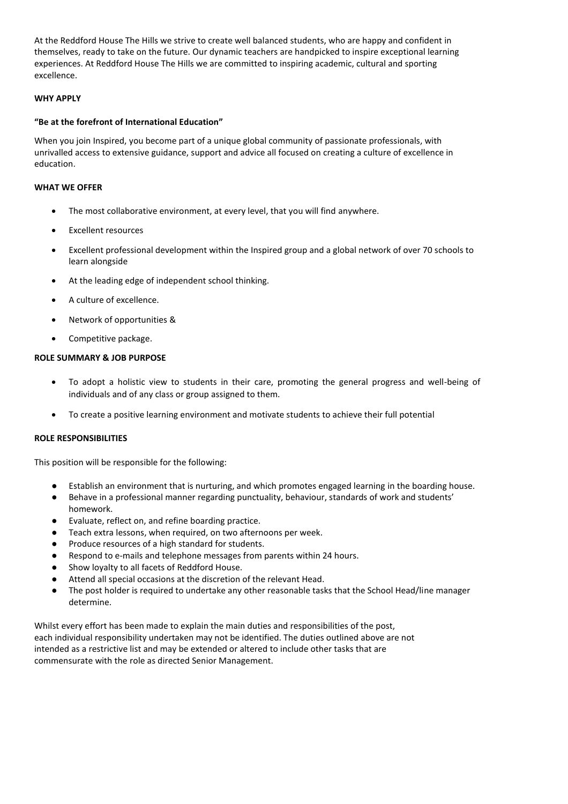At the Reddford House The Hills we strive to create well balanced students, who are happy and confident in themselves, ready to take on the future. Our dynamic teachers are handpicked to inspire exceptional learning experiences. At Reddford House The Hills we are committed to inspiring academic, cultural and sporting excellence.

#### **WHY APPLY**

#### **"Be at the forefront of International Education"**

When you join Inspired, you become part of a unique global community of passionate professionals, with unrivalled access to extensive guidance, support and advice all focused on creating a culture of excellence in education.

#### **WHAT WE OFFER**

- The most collaborative environment, at every level, that you will find anywhere.
- **Excellent resources**
- Excellent professional development within the Inspired group and a global network of over 70 schools to learn alongside
- At the leading edge of independent school thinking.
- A culture of excellence.
- Network of opportunities &
- Competitive package.

#### **ROLE SUMMARY & JOB PURPOSE**

- To adopt a holistic view to students in their care, promoting the general progress and well-being of individuals and of any class or group assigned to them.
- To create a positive learning environment and motivate students to achieve their full potential

#### **ROLE RESPONSIBILITIES**

This position will be responsible for the following:

- Establish an environment that is nurturing, and which promotes engaged learning in the boarding house.
- Behave in a professional manner regarding punctuality, behaviour, standards of work and students' homework.
- Evaluate, reflect on, and refine boarding practice.
- Teach extra lessons, when required, on two afternoons per week.
- Produce resources of a high standard for students.
- Respond to e-mails and telephone messages from parents within 24 hours.
- Show loyalty to all facets of Reddford House.
- Attend all special occasions at the discretion of the relevant Head.
- The post holder is required to undertake any other reasonable tasks that the School Head/line manager determine.

Whilst every effort has been made to explain the main duties and responsibilities of the post, each individual responsibility undertaken may not be identified. The duties outlined above are not intended as a restrictive list and may be extended or altered to include other tasks that are commensurate with the role as directed Senior Management.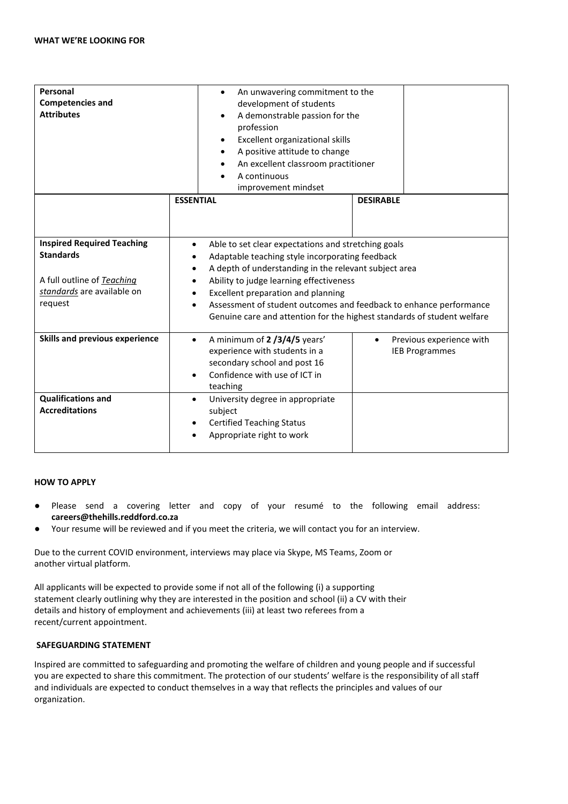| Personal<br><b>Competencies and</b><br><b>Attributes</b>                                                                     | An unwavering commitment to the<br>$\bullet$<br>development of students<br>A demonstrable passion for the<br>profession<br>Excellent organizational skills<br>A positive attitude to change<br>An excellent classroom practitioner<br>A continuous |                                                                                                                                                                                                                                                                                                                                                             |  |
|------------------------------------------------------------------------------------------------------------------------------|----------------------------------------------------------------------------------------------------------------------------------------------------------------------------------------------------------------------------------------------------|-------------------------------------------------------------------------------------------------------------------------------------------------------------------------------------------------------------------------------------------------------------------------------------------------------------------------------------------------------------|--|
|                                                                                                                              | improvement mindset<br><b>ESSENTIAL</b>                                                                                                                                                                                                            | <b>DESIRABLE</b>                                                                                                                                                                                                                                                                                                                                            |  |
|                                                                                                                              |                                                                                                                                                                                                                                                    |                                                                                                                                                                                                                                                                                                                                                             |  |
| <b>Inspired Required Teaching</b><br><b>Standards</b><br>A full outline of Teaching<br>standards are available on<br>request | $\bullet$<br>$\bullet$<br>$\bullet$<br>Excellent preparation and planning<br>$\bullet$                                                                                                                                                             | Able to set clear expectations and stretching goals<br>Adaptable teaching style incorporating feedback<br>A depth of understanding in the relevant subject area<br>Ability to judge learning effectiveness<br>Assessment of student outcomes and feedback to enhance performance<br>Genuine care and attention for the highest standards of student welfare |  |
| Skills and previous experience                                                                                               | A minimum of 2/3/4/5 years'<br>$\bullet$<br>experience with students in a<br>secondary school and post 16<br>Confidence with use of ICT in<br>$\bullet$<br>teaching                                                                                | Previous experience with<br><b>IEB Programmes</b>                                                                                                                                                                                                                                                                                                           |  |
| <b>Qualifications and</b><br><b>Accreditations</b>                                                                           | University degree in appropriate<br>$\bullet$<br>subject<br><b>Certified Teaching Status</b><br>Appropriate right to work                                                                                                                          |                                                                                                                                                                                                                                                                                                                                                             |  |

#### **HOW TO APPLY**

- Please send a covering letter and copy of your resumé to the following email address: **careers@thehills.reddford.co.za**
- Your resume will be reviewed and if you meet the criteria, we will contact you for an interview.

Due to the current COVID environment, interviews may place via Skype, MS Teams, Zoom or another virtual platform.

All applicants will be expected to provide some if not all of the following (i) a supporting statement clearly outlining why they are interested in the position and school (ii) a CV with their details and history of employment and achievements (iii) at least two referees from a recent/current appointment.

#### **SAFEGUARDING STATEMENT**

Inspired are committed to safeguarding and promoting the welfare of children and young people and if successful you are expected to share this commitment. The protection of our students' welfare is the responsibility of all staff and individuals are expected to conduct themselves in a way that reflects the principles and values of our organization.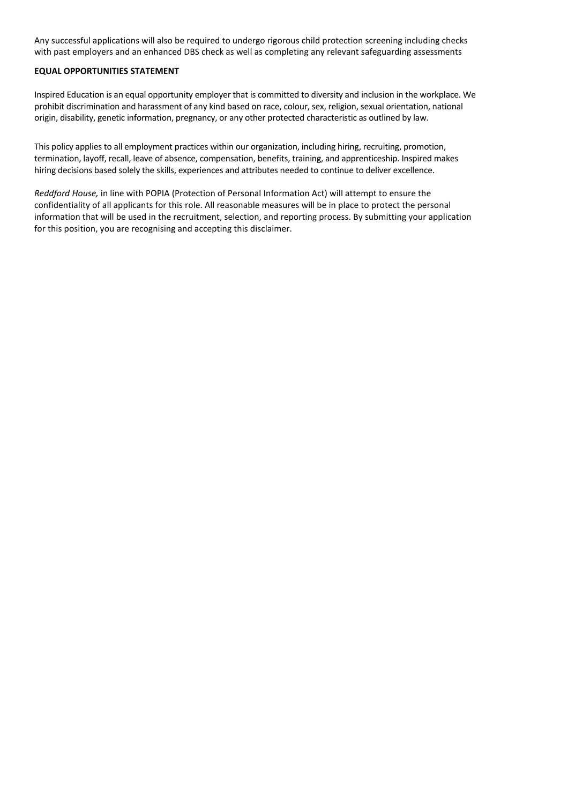Any successful applications will also be required to undergo rigorous child protection screening including checks with past employers and an enhanced DBS check as well as completing any relevant safeguarding assessments

#### **EQUAL OPPORTUNITIES STATEMENT**

Inspired Education is an equal opportunity employer that is committed to diversity and inclusion in the workplace. We prohibit discrimination and harassment of any kind based on race, colour, sex, religion, sexual orientation, national origin, disability, genetic information, pregnancy, or any other protected characteristic as outlined by law.

This policy applies to all employment practices within our organization, including hiring, recruiting, promotion, termination, layoff, recall, leave of absence, compensation, benefits, training, and apprenticeship. Inspired makes hiring decisions based solely the skills, experiences and attributes needed to continue to deliver excellence.

*Reddford House,* in line with POPIA (Protection of Personal Information Act) will attempt to ensure the confidentiality of all applicants for this role. All reasonable measures will be in place to protect the personal information that will be used in the recruitment, selection, and reporting process. By submitting your application for this position, you are recognising and accepting this disclaimer.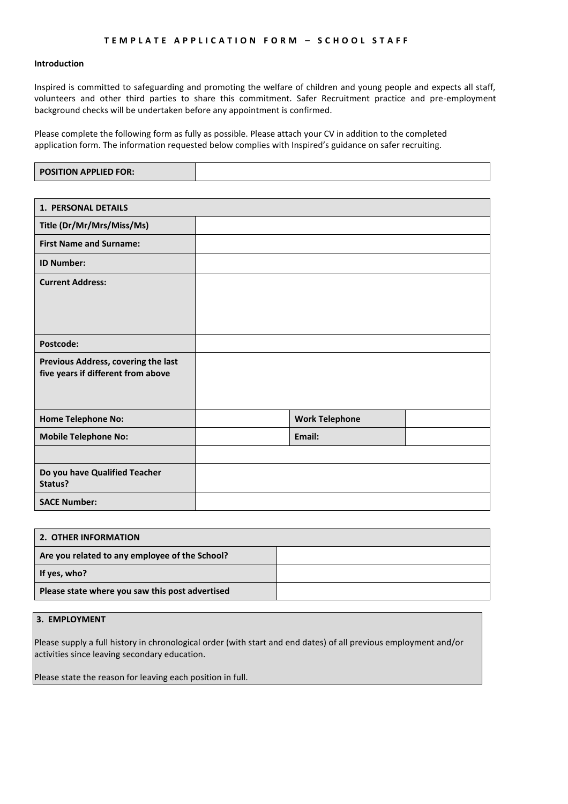#### **Introduction**

Inspired is committed to safeguarding and promoting the welfare of children and young people and expects all staff, volunteers and other third parties to share this commitment. Safer Recruitment practice and pre-employment background checks will be undertaken before any appointment is confirmed.

Please complete the following form as fully as possible. Please attach your CV in addition to the completed application form. The information requested below complies with Inspired's guidance on safer recruiting.

| <b>1. PERSONAL DETAILS</b>                                                |                       |  |
|---------------------------------------------------------------------------|-----------------------|--|
| Title (Dr/Mr/Mrs/Miss/Ms)                                                 |                       |  |
| <b>First Name and Surname:</b>                                            |                       |  |
| <b>ID Number:</b>                                                         |                       |  |
| <b>Current Address:</b>                                                   |                       |  |
| Postcode:                                                                 |                       |  |
| Previous Address, covering the last<br>five years if different from above |                       |  |
| <b>Home Telephone No:</b>                                                 | <b>Work Telephone</b> |  |
| <b>Mobile Telephone No:</b>                                               | Email:                |  |
|                                                                           |                       |  |
| Do you have Qualified Teacher<br>Status?                                  |                       |  |
| <b>SACE Number:</b>                                                       |                       |  |

| 2. OTHER INFORMATION                            |  |  |
|-------------------------------------------------|--|--|
| Are you related to any employee of the School?  |  |  |
| If yes, who?                                    |  |  |
| Please state where you saw this post advertised |  |  |

#### **3. EMPLOYMENT**

Please supply a full history in chronological order (with start and end dates) of all previous employment and/or activities since leaving secondary education.

Please state the reason for leaving each position in full.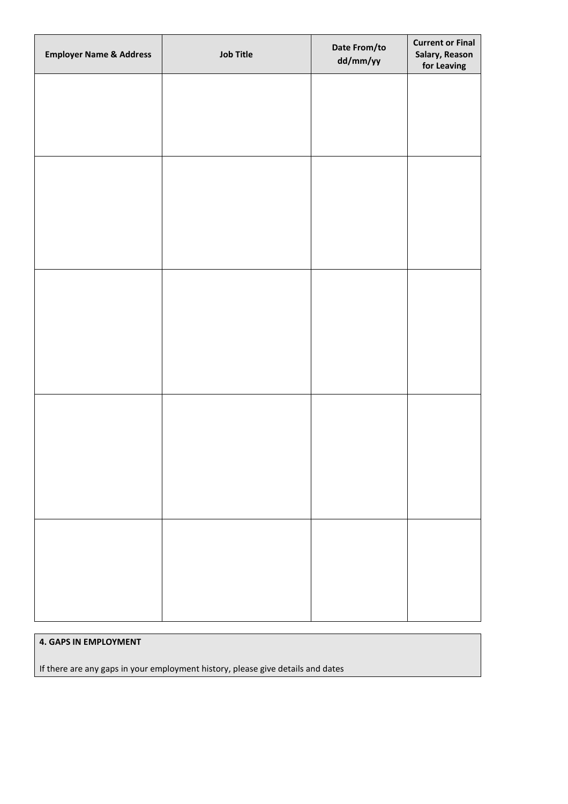| <b>Employer Name &amp; Address</b> | <b>Job Title</b> | Date From/to<br>dd/mm/yy | <b>Current or Final</b><br>Salary, Reason<br>for Leaving |
|------------------------------------|------------------|--------------------------|----------------------------------------------------------|
|                                    |                  |                          |                                                          |
|                                    |                  |                          |                                                          |
|                                    |                  |                          |                                                          |
|                                    |                  |                          |                                                          |
|                                    |                  |                          |                                                          |
|                                    |                  |                          |                                                          |
|                                    |                  |                          |                                                          |
|                                    |                  |                          |                                                          |
|                                    |                  |                          |                                                          |
|                                    |                  |                          |                                                          |
|                                    |                  |                          |                                                          |
|                                    |                  |                          |                                                          |
|                                    |                  |                          |                                                          |
|                                    |                  |                          |                                                          |

### **4. GAPS IN EMPLOYMENT**

If there are any gaps in your employment history, please give details and dates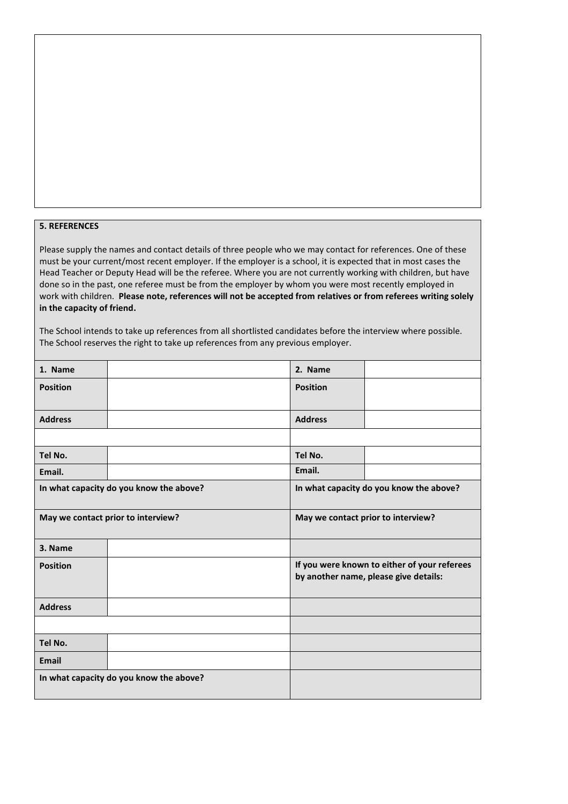#### **5. REFERENCES**

Please supply the names and contact details of three people who we may contact for references. One of these must be your current/most recent employer. If the employer is a school, it is expected that in most cases the Head Teacher or Deputy Head will be the referee. Where you are not currently working with children, but have done so in the past, one referee must be from the employer by whom you were most recently employed in work with children. **Please note, references will not be accepted from relatives or from referees writing solely in the capacity of friend.**

The School intends to take up references from all shortlisted candidates before the interview where possible. The School reserves the right to take up references from any previous employer.

| 1. Name         |                                         | 2. Name                                                                               |                                         |
|-----------------|-----------------------------------------|---------------------------------------------------------------------------------------|-----------------------------------------|
| <b>Position</b> |                                         | <b>Position</b>                                                                       |                                         |
|                 |                                         |                                                                                       |                                         |
| <b>Address</b>  |                                         | <b>Address</b>                                                                        |                                         |
|                 |                                         |                                                                                       |                                         |
| Tel No.         |                                         | Tel No.                                                                               |                                         |
| Email.          |                                         | Email.                                                                                |                                         |
|                 | In what capacity do you know the above? |                                                                                       | In what capacity do you know the above? |
|                 | May we contact prior to interview?      |                                                                                       | May we contact prior to interview?      |
| 3. Name         |                                         |                                                                                       |                                         |
| <b>Position</b> |                                         | If you were known to either of your referees<br>by another name, please give details: |                                         |
| <b>Address</b>  |                                         |                                                                                       |                                         |
|                 |                                         |                                                                                       |                                         |
| Tel No.         |                                         |                                                                                       |                                         |
| <b>Email</b>    |                                         |                                                                                       |                                         |
|                 | In what capacity do you know the above? |                                                                                       |                                         |
|                 |                                         |                                                                                       |                                         |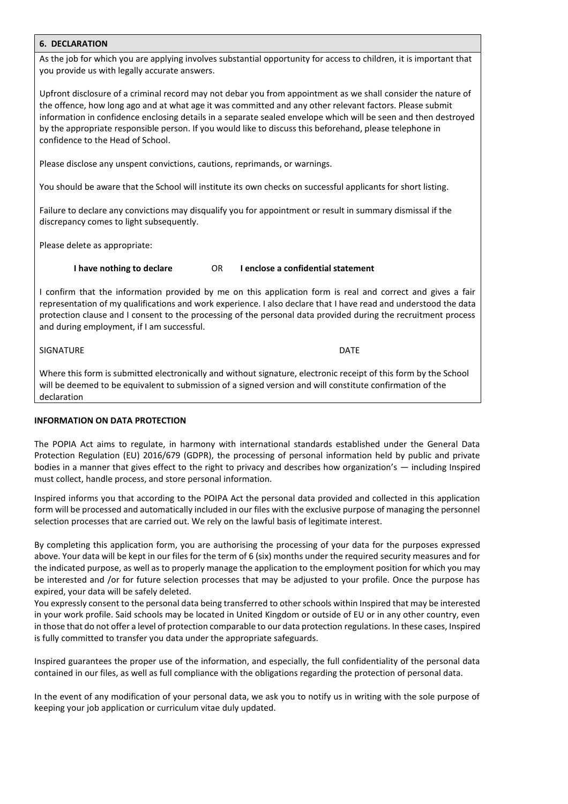#### **6. DECLARATION**

As the job for which you are applying involves substantial opportunity for access to children, it is important that you provide us with legally accurate answers.

Upfront disclosure of a criminal record may not debar you from appointment as we shall consider the nature of the offence, how long ago and at what age it was committed and any other relevant factors. Please submit information in confidence enclosing details in a separate sealed envelope which will be seen and then destroyed by the appropriate responsible person. If you would like to discuss this beforehand, please telephone in confidence to the Head of School.

Please disclose any unspent convictions, cautions, reprimands, or warnings.

You should be aware that the School will institute its own checks on successful applicants for short listing.

Failure to declare any convictions may disqualify you for appointment or result in summary dismissal if the discrepancy comes to light subsequently.

Please delete as appropriate:

**I have nothing to declare** OR **I enclose a confidential statement**

I confirm that the information provided by me on this application form is real and correct and gives a fair representation of my qualifications and work experience. I also declare that I have read and understood the data protection clause and I consent to the processing of the personal data provided during the recruitment process and during employment, if I am successful.

SIGNATURE DATE

Where this form is submitted electronically and without signature, electronic receipt of this form by the School will be deemed to be equivalent to submission of a signed version and will constitute confirmation of the declaration

#### **INFORMATION ON DATA PROTECTION**

The POPIA Act aims to regulate, in harmony with international standards established under the General Data Protection Regulation (EU) 2016/679 (GDPR), the processing of personal information held by public and private bodies in a manner that gives effect to the right to privacy and describes how organization's — including Inspired must collect, handle process, and store personal information.

Inspired informs you that according to the POIPA Act the personal data provided and collected in this application form will be processed and automatically included in our files with the exclusive purpose of managing the personnel selection processes that are carried out. We rely on the lawful basis of legitimate interest.

By completing this application form, you are authorising the processing of your data for the purposes expressed above. Your data will be kept in our files for the term of 6 (six) months under the required security measures and for the indicated purpose, as well as to properly manage the application to the employment position for which you may be interested and /or for future selection processes that may be adjusted to your profile. Once the purpose has expired, your data will be safely deleted.

You expressly consent to the personal data being transferred to other schools within Inspired that may be interested in your work profile. Said schools may be located in United Kingdom or outside of EU or in any other country, even in those that do not offer a level of protection comparable to our data protection regulations. In these cases, Inspired is fully committed to transfer you data under the appropriate safeguards.

Inspired guarantees the proper use of the information, and especially, the full confidentiality of the personal data contained in our files, as well as full compliance with the obligations regarding the protection of personal data.

In the event of any modification of your personal data, we ask you to notify us in writing with the sole purpose of keeping your job application or curriculum vitae duly updated.